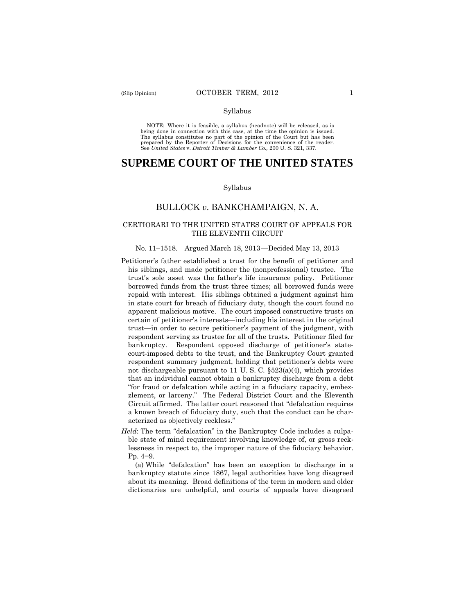#### Syllabus

 NOTE: Where it is feasible, a syllabus (headnote) will be released, as is being done in connection with this case, at the time the opinion is issued. The syllabus constitutes no part of the opinion of the Court but has been<br>prepared by the Reporter of Decisions for the convenience of the reader.<br>See United States v. Detroit Timber & Lumber Co., 200 U.S. 321, 337.

## **SUPREME COURT OF THE UNITED STATES**

#### Syllabus

## BULLOCK *v*. BANKCHAMPAIGN, N. A.

### CERTIORARI TO THE UNITED STATES COURT OF APPEALS FOR THE ELEVENTH CIRCUIT

#### No. 11–1518. Argued March 18, 2013—Decided May 13, 2013

- Petitioner's father established a trust for the benefit of petitioner and his siblings, and made petitioner the (nonprofessional) trustee. The trust's sole asset was the father's life insurance policy. Petitioner borrowed funds from the trust three times; all borrowed funds were repaid with interest. His siblings obtained a judgment against him in state court for breach of fiduciary duty, though the court found no apparent malicious motive. The court imposed constructive trusts on certain of petitioner's interests—including his interest in the original trust—in order to secure petitioner's payment of the judgment, with respondent serving as trustee for all of the trusts. Petitioner filed for bankruptcy. Respondent opposed discharge of petitioner's statecourt-imposed debts to the trust, and the Bankruptcy Court granted respondent summary judgment, holding that petitioner's debts were not dischargeable pursuant to 11 U. S. C. §523(a)(4), which provides that an individual cannot obtain a bankruptcy discharge from a debt "for fraud or defalcation while acting in a fiduciary capacity, embezzlement, or larceny." The Federal District Court and the Eleventh Circuit affirmed. The latter court reasoned that "defalcation requires a known breach of fiduciary duty, such that the conduct can be characterized as objectively reckless."
- *Held*: The term "defalcation" in the Bankruptcy Code includes a culpable state of mind requirement involving knowledge of, or gross recklessness in respect to, the improper nature of the fiduciary behavior. Pp. 4−9.

(a) While "defalcation" has been an exception to discharge in a bankruptcy statute since 1867, legal authorities have long disagreed about its meaning. Broad definitions of the term in modern and older dictionaries are unhelpful, and courts of appeals have disagreed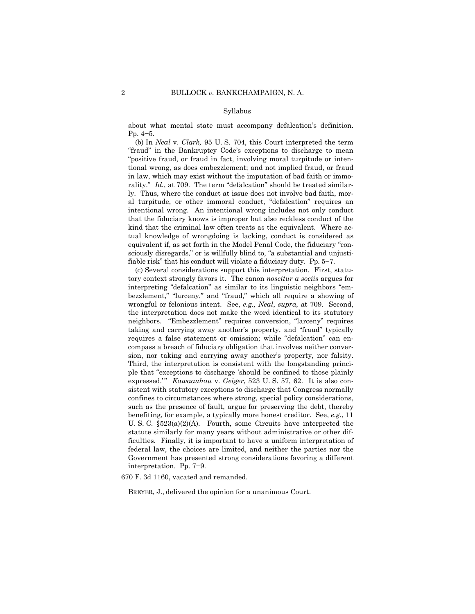#### Syllabus

about what mental state must accompany defalcation's definition. Pp. 4−5.

(b) In *Neal* v. *Clark,* 95 U. S. 704, this Court interpreted the term "fraud" in the Bankruptcy Code's exceptions to discharge to mean "positive fraud, or fraud in fact, involving moral turpitude or intentional wrong, as does embezzlement; and not implied fraud, or fraud in law, which may exist without the imputation of bad faith or immorality." *Id.*, at 709. The term "defalcation" should be treated similarly. Thus, where the conduct at issue does not involve bad faith, moral turpitude, or other immoral conduct, "defalcation" requires an intentional wrong. An intentional wrong includes not only conduct that the fiduciary knows is improper but also reckless conduct of the kind that the criminal law often treats as the equivalent. Where actual knowledge of wrongdoing is lacking, conduct is considered as equivalent if, as set forth in the Model Penal Code, the fiduciary "consciously disregards," or is willfully blind to, "a substantial and unjustifiable risk" that his conduct will violate a fiduciary duty. Pp. 5−7.

 wrongful or felonious intent. See, *e.g., Neal*, *supra,* at 709. Second, sion, nor taking and carrying away another's property, nor falsity. (c) Several considerations support this interpretation. First, statutory context strongly favors it. The canon *noscitur a sociis* argues for interpreting "defalcation" as similar to its linguistic neighbors "embezzlement," "larceny," and "fraud," which all require a showing of the interpretation does not make the word identical to its statutory neighbors. "Embezzlement" requires conversion, "larceny" requires taking and carrying away another's property, and "fraud" typically requires a false statement or omission; while "defalcation" can encompass a breach of fiduciary obligation that involves neither conver-Third, the interpretation is consistent with the longstanding principle that "exceptions to discharge 'should be confined to those plainly expressed.'" *Kawaauhau* v. *Geiger*, 523 U. S. 57, 62. It is also consistent with statutory exceptions to discharge that Congress normally confines to circumstances where strong, special policy considerations, such as the presence of fault, argue for preserving the debt, thereby benefiting, for example, a typically more honest creditor. See, *e.g.*, 11 U. S. C. §523(a)(2)(A). Fourth, some Circuits have interpreted the statute similarly for many years without administrative or other difficulties. Finally, it is important to have a uniform interpretation of federal law, the choices are limited, and neither the parties nor the Government has presented strong considerations favoring a different interpretation. Pp. 7−9.

670 F. 3d 1160, vacated and remanded.

BREYER, J., delivered the opinion for a unanimous Court.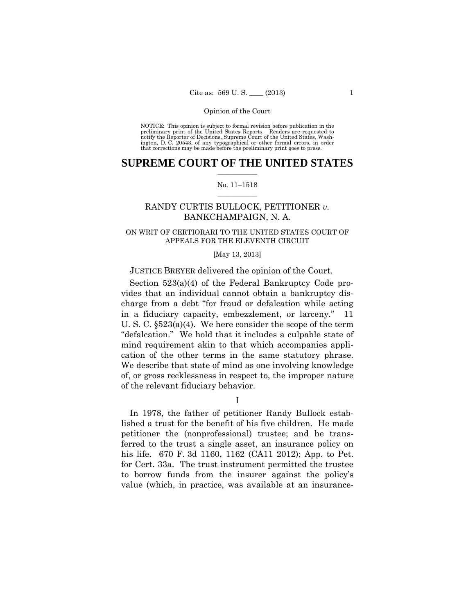preliminary print of the United States Reports. Readers are requested to notify the Reporter of Decisions, Supreme Court of the United States, Wash- ington, D. C. 20543, of any typographical or other formal errors, in order that corrections may be made before the preliminary print goes to press. NOTICE: This opinion is subject to formal revision before publication in the

## $\frac{1}{2}$  ,  $\frac{1}{2}$  ,  $\frac{1}{2}$  ,  $\frac{1}{2}$  ,  $\frac{1}{2}$  ,  $\frac{1}{2}$  ,  $\frac{1}{2}$ **SUPREME COURT OF THE UNITED STATES**

#### $\frac{1}{2}$  ,  $\frac{1}{2}$  ,  $\frac{1}{2}$  ,  $\frac{1}{2}$  ,  $\frac{1}{2}$  ,  $\frac{1}{2}$ No. 11–1518

## RANDY CURTIS BULLOCK, PETITIONER *v.* BANKCHAMPAIGN, N. A.

## ON WRIT OF CERTIORARI TO THE UNITED STATES COURT OF APPEALS FOR THE ELEVENTH CIRCUIT

#### [May 13, 2013]

## JUSTICE BREYER delivered the opinion of the Court.

Section 523(a)(4) of the Federal Bankruptcy Code provides that an individual cannot obtain a bankruptcy discharge from a debt "for fraud or defalcation while acting in a fiduciary capacity, embezzlement, or larceny." 11 U. S. C. §523(a)(4). We here consider the scope of the term "defalcation." We hold that it includes a culpable state of mind requirement akin to that which accompanies application of the other terms in the same statutory phrase. We describe that state of mind as one involving knowledge of, or gross recklessness in respect to, the improper nature of the relevant fiduciary behavior.

I

In 1978, the father of petitioner Randy Bullock established a trust for the benefit of his five children. He made petitioner the (nonprofessional) trustee; and he transferred to the trust a single asset, an insurance policy on his life. 670 F. 3d 1160, 1162 (CA11 2012); App. to Pet. for Cert. 33a. The trust instrument permitted the trustee to borrow funds from the insurer against the policy's value (which, in practice, was available at an insurance-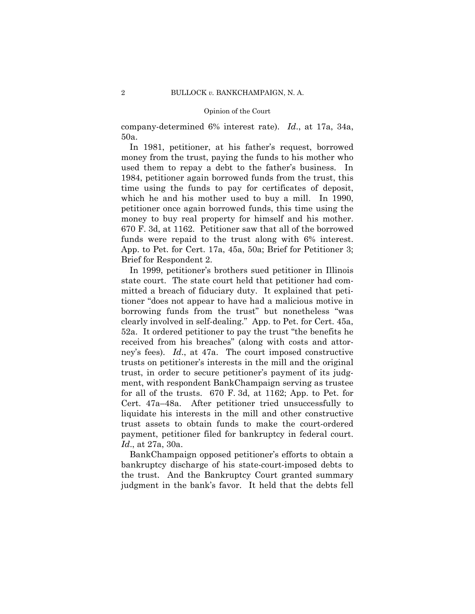company-determined 6% interest rate). *Id*., at 17a, 34a, 50a.

In 1981, petitioner, at his father's request, borrowed money from the trust, paying the funds to his mother who used them to repay a debt to the father's business. In 1984, petitioner again borrowed funds from the trust, this time using the funds to pay for certificates of deposit, which he and his mother used to buy a mill. In 1990, petitioner once again borrowed funds, this time using the money to buy real property for himself and his mother. 670 F. 3d, at 1162. Petitioner saw that all of the borrowed funds were repaid to the trust along with 6% interest. App. to Pet. for Cert. 17a, 45a, 50a; Brief for Petitioner 3; Brief for Respondent 2.

In 1999, petitioner's brothers sued petitioner in Illinois state court. The state court held that petitioner had committed a breach of fiduciary duty. It explained that petitioner "does not appear to have had a malicious motive in borrowing funds from the trust" but nonetheless "was clearly involved in self-dealing." App. to Pet. for Cert. 45a, 52a. It ordered petitioner to pay the trust "the benefits he received from his breaches" (along with costs and attorney's fees). *Id*., at 47a. The court imposed constructive trusts on petitioner's interests in the mill and the original trust, in order to secure petitioner's payment of its judgment, with respondent BankChampaign serving as trustee for all of the trusts. 670 F. 3d, at 1162; App. to Pet. for Cert. 47a–48a. After petitioner tried unsuccessfully to liquidate his interests in the mill and other constructive trust assets to obtain funds to make the court-ordered payment, petitioner filed for bankruptcy in federal court. *Id*., at 27a, 30a.

 the trust. And the Bankruptcy Court granted summary BankChampaign opposed petitioner's efforts to obtain a bankruptcy discharge of his state-court-imposed debts to judgment in the bank's favor. It held that the debts fell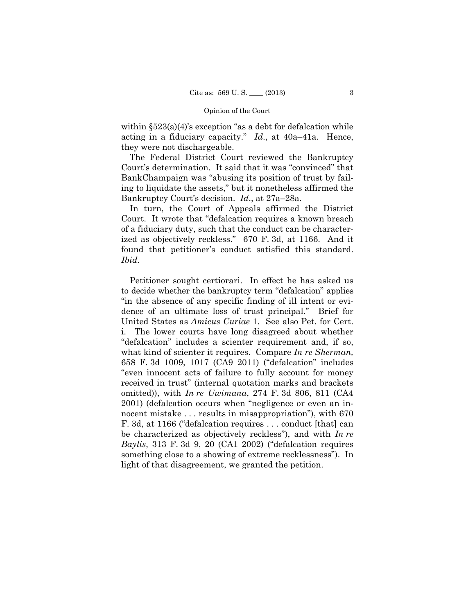acting in a fiduciary capacity." *Id*., at 40a–41a. Hence, within  $\S523(a)(4)$ 's exception "as a debt for defalcation while they were not dischargeable.

The Federal District Court reviewed the Bankruptcy Court's determination. It said that it was "convinced" that BankChampaign was "abusing its position of trust by failing to liquidate the assets," but it nonetheless affirmed the Bankruptcy Court's decision. *Id*., at 27a–28a.

In turn, the Court of Appeals affirmed the District Court. It wrote that "defalcation requires a known breach of a fiduciary duty, such that the conduct can be characterized as objectively reckless." 670 F. 3d, at 1166. And it found that petitioner's conduct satisfied this standard. *Ibid.* 

Petitioner sought certiorari. In effect he has asked us to decide whether the bankruptcy term "defalcation" applies "in the absence of any specific finding of ill intent or evidence of an ultimate loss of trust principal." Brief for United States as *Amicus Curiae* 1. See also Pet. for Cert. i. The lower courts have long disagreed about whether "defalcation" includes a scienter requirement and, if so, what kind of scienter it requires. Compare *In re Sherman,*  658 F. 3d 1009, 1017 (CA9 2011) ("defalcation" includes "even innocent acts of failure to fully account for money received in trust" (internal quotation marks and brackets omitted)), with *In re Uwimana*, 274 F. 3d 806, 811 (CA4 2001) (defalcation occurs when "negligence or even an innocent mistake . . . results in misappropriation", with 670 F. 3d, at 1166 ("defalcation requires . . . conduct [that] can be characterized as objectively reckless"), and with *In re Baylis*, 313 F. 3d 9, 20 (CA1 2002) ("defalcation requires something close to a showing of extreme recklessness"). In light of that disagreement, we granted the petition.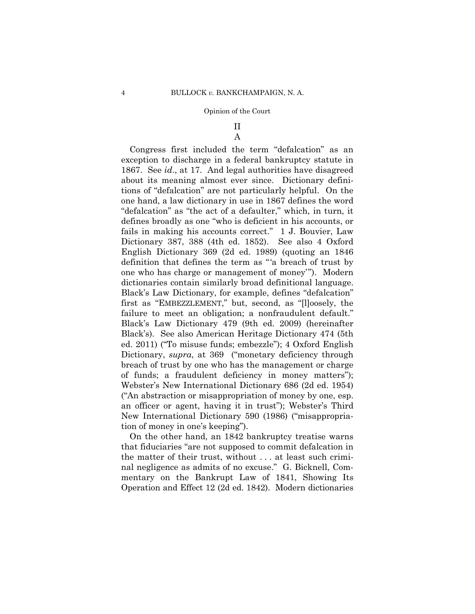# II

A

 dictionaries contain similarly broad definitional language. Congress first included the term "defalcation" as an exception to discharge in a federal bankruptcy statute in 1867. See *id*., at 17. And legal authorities have disagreed about its meaning almost ever since. Dictionary definitions of "defalcation" are not particularly helpful. On the one hand, a law dictionary in use in 1867 defines the word "defalcation" as "the act of a defaulter," which, in turn, it defines broadly as one "who is deficient in his accounts, or fails in making his accounts correct." 1 J. Bouvier, Law Dictionary 387, 388 (4th ed. 1852). See also 4 Oxford English Dictionary 369 (2d ed. 1989) (quoting an 1846 definition that defines the term as "'a breach of trust by one who has charge or management of money'"). Modern Black's Law Dictionary, for example, defines "defalcation" first as "EMBEZZLEMENT," but, second, as "[l]oosely, the failure to meet an obligation; a nonfraudulent default." Black's Law Dictionary 479 (9th ed. 2009) (hereinafter Black's). See also American Heritage Dictionary 474 (5th ed. 2011) ("To misuse funds; embezzle"); 4 Oxford English Dictionary, *supra*, at 369 ("monetary deficiency through breach of trust by one who has the management or charge of funds; a fraudulent deficiency in money matters"); Webster's New International Dictionary 686 (2d ed. 1954) ("An abstraction or misappropriation of money by one, esp. an officer or agent, having it in trust"); Webster's Third New International Dictionary 590 (1986) ("misappropriation of money in one's keeping").

On the other hand, an 1842 bankruptcy treatise warns that fiduciaries "are not supposed to commit defalcation in the matter of their trust, without . . . at least such criminal negligence as admits of no excuse." G. Bicknell, Commentary on the Bankrupt Law of 1841, Showing Its Operation and Effect 12 (2d ed. 1842). Modern dictionaries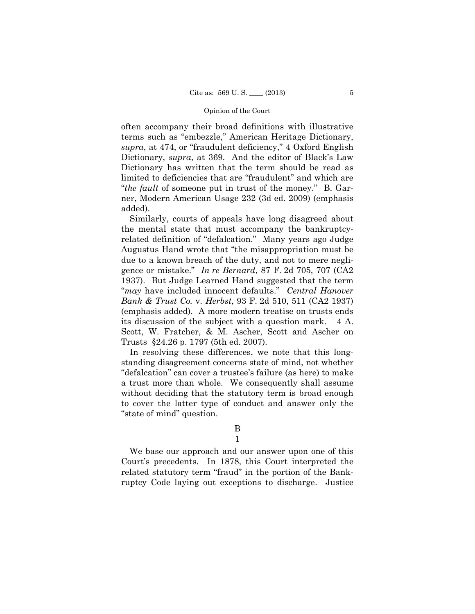often accompany their broad definitions with illustrative terms such as "embezzle," American Heritage Dictionary, *supra*, at 474, or "fraudulent deficiency," 4 Oxford English Dictionary, *supra*, at 369. And the editor of Black's Law Dictionary has written that the term should be read as limited to deficiencies that are "fraudulent" and which are "*the fault* of someone put in trust of the money." B. Garner, Modern American Usage 232 (3d ed. 2009) (emphasis added).

Similarly, courts of appeals have long disagreed about the mental state that must accompany the bankruptcyrelated definition of "defalcation." Many years ago Judge Augustus Hand wrote that "the misappropriation must be due to a known breach of the duty, and not to mere negligence or mistake." *In re Bernard*, 87 F. 2d 705, 707 (CA2 1937). But Judge Learned Hand suggested that the term "*may* have included innocent defaults." *Central Hanover Bank & Trust Co.* v. *Herbst*, 93 F. 2d 510, 511 (CA2 1937) (emphasis added). A more modern treatise on trusts ends its discussion of the subject with a question mark. 4 A. Scott, W. Fratcher, & M. Ascher, Scott and Ascher on Trusts §24.26 p. 1797 (5th ed. 2007).

In resolving these differences, we note that this longstanding disagreement concerns state of mind, not whether "defalcation" can cover a trustee's failure (as here) to make a trust more than whole. We consequently shall assume without deciding that the statutory term is broad enough to cover the latter type of conduct and answer only the "state of mind" question.

## B

## 1

We base our approach and our answer upon one of this Court's precedents. In 1878, this Court interpreted the related statutory term "fraud" in the portion of the Bankruptcy Code laying out exceptions to discharge. Justice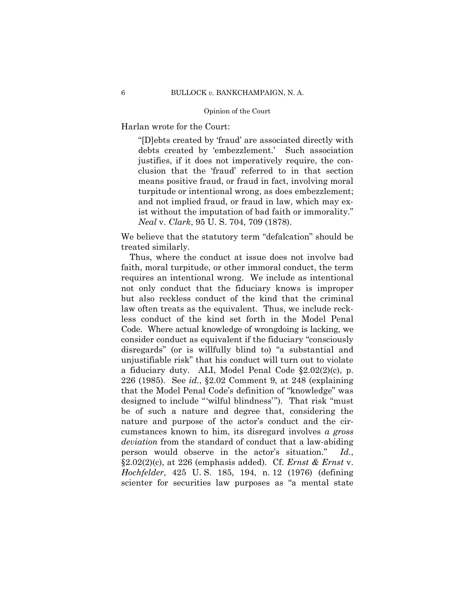Harlan wrote for the Court:

"[D]ebts created by 'fraud' are associated directly with debts created by 'embezzlement.' Such association justifies, if it does not imperatively require, the conclusion that the 'fraud' referred to in that section means positive fraud, or fraud in fact, involving moral turpitude or intentional wrong, as does embezzlement; and not implied fraud, or fraud in law, which may exist without the imputation of bad faith or immorality." *Neal* v. *Clark*, 95 U. S. 704, 709 (1878).

We believe that the statutory term "defalcation" should be treated similarly.

Thus, where the conduct at issue does not involve bad faith, moral turpitude, or other immoral conduct, the term requires an intentional wrong. We include as intentional not only conduct that the fiduciary knows is improper but also reckless conduct of the kind that the criminal law often treats as the equivalent. Thus, we include reckless conduct of the kind set forth in the Model Penal Code. Where actual knowledge of wrongdoing is lacking, we consider conduct as equivalent if the fiduciary "consciously disregards" (or is willfully blind to) "a substantial and unjustifiable risk" that his conduct will turn out to violate a fiduciary duty. ALI, Model Penal Code §2.02(2)(c), p. 226 (1985). See *id.*, §2.02 Comment 9, at 248 (explaining that the Model Penal Code's definition of "knowledge" was designed to include "'wilful blindness'"). That risk "must be of such a nature and degree that, considering the nature and purpose of the actor's conduct and the circumstances known to him, its disregard involves *a gross deviation* from the standard of conduct that a law-abiding person would observe in the actor's situation." *Id.*, §2.02(2)(c), at 226 (emphasis added). Cf. *Ernst & Ernst* v. *Hochfelder*, 425 U. S. 185, 194, n. 12 (1976) (defining scienter for securities law purposes as "a mental state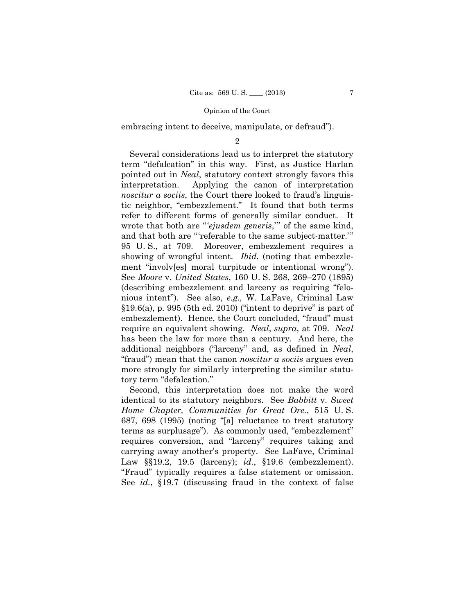embracing intent to deceive, manipulate, or defraud").

 $\mathfrak{D}$ 

Several considerations lead us to interpret the statutory term "defalcation" in this way. First, as Justice Harlan pointed out in *Neal*, statutory context strongly favors this interpretation. Applying the canon of interpretation *noscitur a sociis*, the Court there looked to fraud's linguistic neighbor, "embezzlement." It found that both terms refer to different forms of generally similar conduct. It wrote that both are "'*ejusdem generis*,'" of the same kind, and that both are "'referable to the same subject-matter.'" 95 U. S., at 709. Moreover, embezzlement requires a showing of wrongful intent. *Ibid.* (noting that embezzlement "involv[es] moral turpitude or intentional wrong"). See *Moore* v. *United States*, 160 U. S. 268, 269–270 (1895) (describing embezzlement and larceny as requiring "felonious intent"). See also, *e.g.,* W. LaFave, Criminal Law  $§19.6(a)$ , p. 995 (5th ed. 2010) ("intent to deprive" is part of embezzlement). Hence, the Court concluded, "fraud" must require an equivalent showing. *Neal*, *supra*, at 709. *Neal*  has been the law for more than a century. And here, the additional neighbors ("larceny" and, as defined in *Neal*, "fraud") mean that the canon *noscitur a sociis* argues even more strongly for similarly interpreting the similar statutory term "defalcation."

Second, this interpretation does not make the word identical to its statutory neighbors. See *Babbitt* v. *Sweet Home Chapter, Communities for Great Ore.*, 515 U. S. 687, 698 (1995) (noting "[a] reluctance to treat statutory terms as surplusage"). As commonly used, "embezzlement" requires conversion, and "larceny" requires taking and carrying away another's property. See LaFave, Criminal Law §§19.2, 19.5 (larceny); *id.*, §19.6 (embezzlement). "Fraud" typically requires a false statement or omission. See *id.*, §19.7 (discussing fraud in the context of false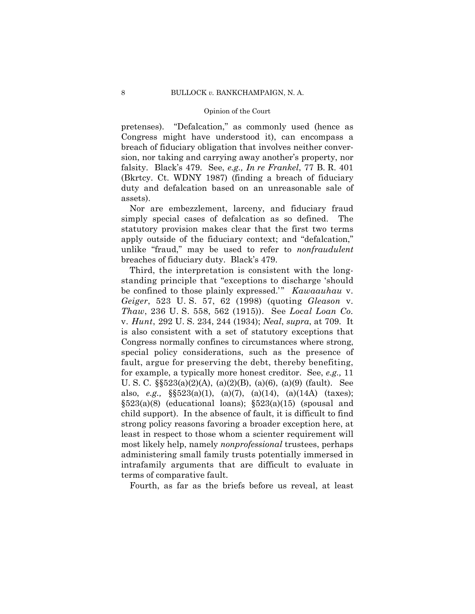pretenses). "Defalcation," as commonly used (hence as Congress might have understood it), can encompass a breach of fiduciary obligation that involves neither conversion, nor taking and carrying away another's property, nor falsity. Black's 479. See, *e.g., In re Frankel*, 77 B. R. 401 (Bkrtcy. Ct. WDNY 1987) (finding a breach of fiduciary duty and defalcation based on an unreasonable sale of assets).

Nor are embezzlement, larceny, and fiduciary fraud simply special cases of defalcation as so defined. The statutory provision makes clear that the first two terms apply outside of the fiduciary context; and "defalcation," unlike "fraud," may be used to refer to *nonfraudulent*  breaches of fiduciary duty. Black's 479.

Third, the interpretation is consistent with the longstanding principle that "exceptions to discharge 'should be confined to those plainly expressed." *Kawaauhau* v. *Geiger*, 523 U. S. 57, 62 (1998) (quoting *Gleason* v. *Thaw*, 236 U. S. 558, 562 (1915)). See *Local Loan Co.*  v. *Hunt*, 292 U. S. 234, 244 (1934); *Neal*, *supra*, at 709. It is also consistent with a set of statutory exceptions that Congress normally confines to circumstances where strong, special policy considerations, such as the presence of fault, argue for preserving the debt, thereby benefiting, for example, a typically more honest creditor. See, *e.g.,* 11 U. S. C. §§523(a)(2)(A), (a)(2)(B), (a)(6), (a)(9) (fault). See also, *e.g.,* §§523(a)(1), (a)(7), (a)(14), (a)(14A) (taxes);  $$523(a)(8)$  (educational loans);  $$523(a)(15)$  (spousal and child support). In the absence of fault, it is difficult to find strong policy reasons favoring a broader exception here, at least in respect to those whom a scienter requirement will most likely help, namely *nonprofessional* trustees, perhaps administering small family trusts potentially immersed in intrafamily arguments that are difficult to evaluate in terms of comparative fault.

Fourth, as far as the briefs before us reveal, at least